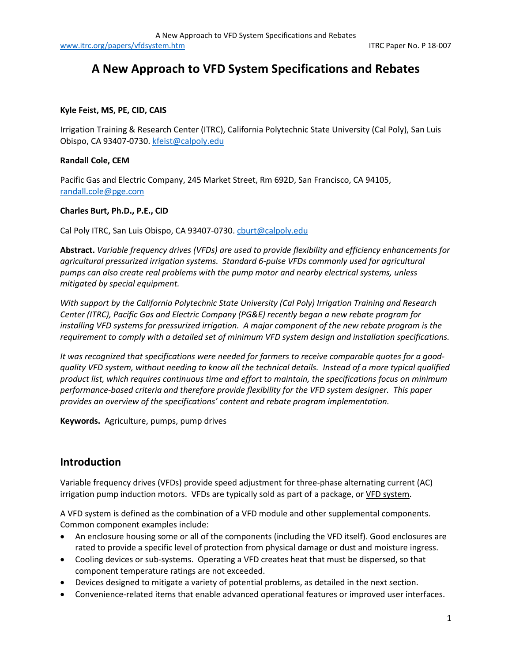[www.itrc.org/papers/vfdsystem.htm](http://www.itrc.org/papers/vfdsystem.htm) in the intervention of the intervention of the intervention of the intervention of the intervention of the intervention of the intervention of the intervention of the intervention of the i

# **A New Approach to VFD System Specifications and Rebates**

#### **Kyle Feist, MS, PE, CID, CAIS**

Irrigation Training & Research Center (ITRC), California Polytechnic State University (Cal Poly), San Luis Obispo, CA 93407-0730. [kfeist@calpoly.edu](mailto:kfeist@calpoly.edu)

#### **Randall Cole, CEM**

Pacific Gas and Electric Company, 245 Market Street, Rm 692D, San Francisco, CA 94105, [randall.cole@pge.com](mailto:rcck@pge.com)

#### **Charles Burt, Ph.D., P.E., CID**

Cal Poly ITRC, San Luis Obispo, CA 93407-0730[. cburt@calpoly.edu](mailto:cburt@calpoly.edu)

**Abstract.** *Variable frequency drives (VFDs) are used to provide flexibility and efficiency enhancements for agricultural pressurized irrigation systems. Standard 6-pulse VFDs commonly used for agricultural pumps can also create real problems with the pump motor and nearby electrical systems, unless mitigated by special equipment.* 

*With support by the California Polytechnic State University (Cal Poly) Irrigation Training and Research Center (ITRC), Pacific Gas and Electric Company (PG&E) recently began a new rebate program for installing VFD systems for pressurized irrigation. A major component of the new rebate program is the requirement to comply with a detailed set of minimum VFD system design and installation specifications.* 

*It was recognized that specifications were needed for farmers to receive comparable quotes for a goodquality VFD system, without needing to know all the technical details. Instead of a more typical qualified product list, which requires continuous time and effort to maintain, the specifications focus on minimum performance-based criteria and therefore provide flexibility for the VFD system designer. This paper provides an overview of the specifications' content and rebate program implementation.* 

**Keywords.** Agriculture, pumps, pump drives

## **Introduction**

Variable frequency drives (VFDs) provide speed adjustment for three-phase alternating current (AC) irrigation pump induction motors. VFDs are typically sold as part of a package, or VFD system.

A VFD system is defined as the combination of a VFD module and other supplemental components. Common component examples include:

- An enclosure housing some or all of the components (including the VFD itself). Good enclosures are rated to provide a specific level of protection from physical damage or dust and moisture ingress.
- Cooling devices or sub-systems. Operating a VFD creates heat that must be dispersed, so that component temperature ratings are not exceeded.
- Devices designed to mitigate a variety of potential problems, as detailed in the next section.
- Convenience-related items that enable advanced operational features or improved user interfaces.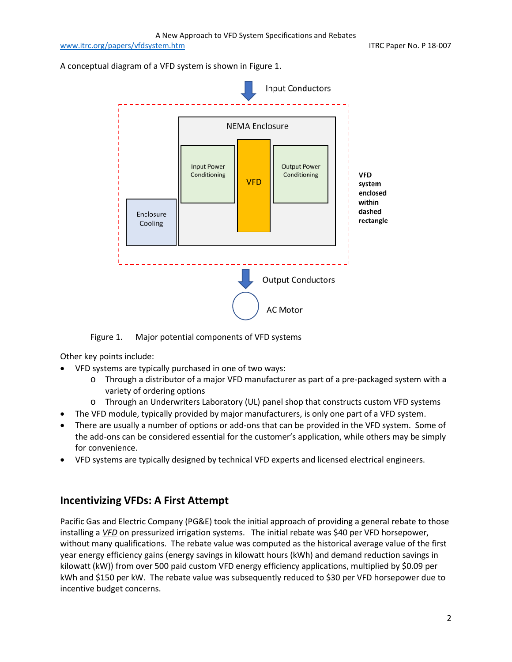[www.itrc.org/papers/vfdsystem.htm](http://www.itrc.org/papers/vfdsystem.htm) in the intervention of the intervention of the intervention of the intervention of the intervention of the intervention of the intervention of the intervention of the intervention of the i

A conceptual diagram of a VFD system is shown in Figure 1.



Figure 1. Major potential components of VFD systems

Other key points include:

- VFD systems are typically purchased in one of two ways:
	- o Through a distributor of a major VFD manufacturer as part of a pre-packaged system with a variety of ordering options
	- o Through an Underwriters Laboratory (UL) panel shop that constructs custom VFD systems
- The VFD module, typically provided by major manufacturers, is only one part of a VFD system.
- There are usually a number of options or add-ons that can be provided in the VFD system. Some of the add-ons can be considered essential for the customer's application, while others may be simply for convenience.
- VFD systems are typically designed by technical VFD experts and licensed electrical engineers.

# **Incentivizing VFDs: A First Attempt**

Pacific Gas and Electric Company (PG&E) took the initial approach of providing a general rebate to those installing a *VFD* on pressurized irrigation systems. The initial rebate was \$40 per VFD horsepower, without many qualifications. The rebate value was computed as the historical average value of the first year energy efficiency gains (energy savings in kilowatt hours (kWh) and demand reduction savings in kilowatt (kW)) from over 500 paid custom VFD energy efficiency applications, multiplied by \$0.09 per kWh and \$150 per kW. The rebate value was subsequently reduced to \$30 per VFD horsepower due to incentive budget concerns.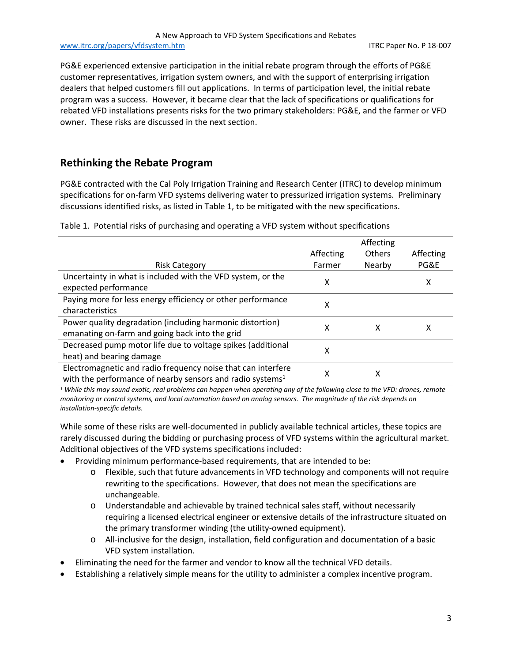PG&E experienced extensive participation in the initial rebate program through the efforts of PG&E customer representatives, irrigation system owners, and with the support of enterprising irrigation dealers that helped customers fill out applications. In terms of participation level, the initial rebate program was a success. However, it became clear that the lack of specifications or qualifications for rebated VFD installations presents risks for the two primary stakeholders: PG&E, and the farmer or VFD owner. These risks are discussed in the next section.

## **Rethinking the Rebate Program**

PG&E contracted with the Cal Poly Irrigation Training and Research Center (ITRC) to develop minimum specifications for on-farm VFD systems delivering water to pressurized irrigation systems. Preliminary discussions identified risks, as listed in Table 1, to be mitigated with the new specifications.

Table 1. Potential risks of purchasing and operating a VFD system without specifications

|                                                                       |           | Affecting |           |
|-----------------------------------------------------------------------|-----------|-----------|-----------|
|                                                                       | Affecting | Others    | Affecting |
| <b>Risk Category</b>                                                  | Farmer    | Nearby    | PG&E      |
| Uncertainty in what is included with the VFD system, or the           | χ         |           | х         |
| expected performance                                                  |           |           |           |
| Paying more for less energy efficiency or other performance           | x         |           |           |
| characteristics                                                       |           |           |           |
| Power quality degradation (including harmonic distortion)             | x         | х         | x         |
| emanating on-farm and going back into the grid                        |           |           |           |
| Decreased pump motor life due to voltage spikes (additional           | χ         |           |           |
| heat) and bearing damage                                              |           |           |           |
| Electromagnetic and radio frequency noise that can interfere          | χ         | х         |           |
| with the performance of nearby sensors and radio systems <sup>1</sup> |           |           |           |

*<sup>1</sup> While this may sound exotic, real problems can happen when operating any of the following close to the VFD: drones, remote monitoring or control systems, and local automation based on analog sensors. The magnitude of the risk depends on installation-specific details.* 

While some of these risks are well-documented in publicly available technical articles, these topics are rarely discussed during the bidding or purchasing process of VFD systems within the agricultural market. Additional objectives of the VFD systems specifications included:

- Providing minimum performance-based requirements, that are intended to be:
	- o Flexible, such that future advancements in VFD technology and components will not require rewriting to the specifications. However, that does not mean the specifications are unchangeable.
	- o Understandable and achievable by trained technical sales staff, without necessarily requiring a licensed electrical engineer or extensive details of the infrastructure situated on the primary transformer winding (the utility-owned equipment).
	- o All-inclusive for the design, installation, field configuration and documentation of a basic VFD system installation.
- Eliminating the need for the farmer and vendor to know all the technical VFD details.
- Establishing a relatively simple means for the utility to administer a complex incentive program.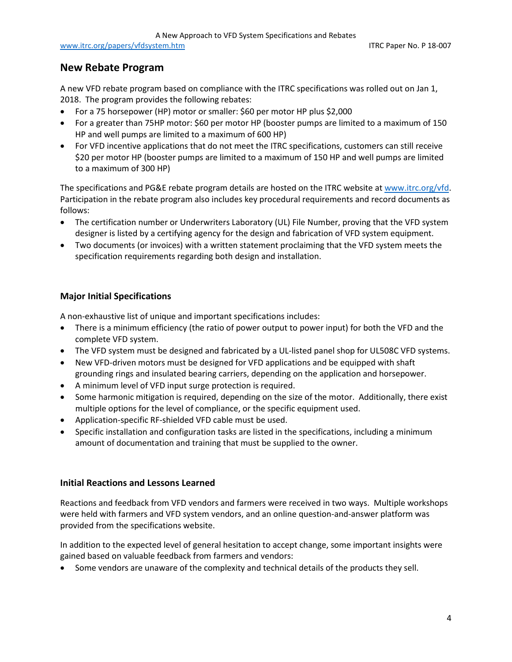### **New Rebate Program**

A new VFD rebate program based on compliance with the ITRC specifications was rolled out on Jan 1, 2018. The program provides the following rebates:

- For a 75 horsepower (HP) motor or smaller: \$60 per motor HP plus \$2,000
- For a greater than 75HP motor: \$60 per motor HP (booster pumps are limited to a maximum of 150 HP and well pumps are limited to a maximum of 600 HP)
- For VFD incentive applications that do not meet the ITRC specifications, customers can still receive \$20 per motor HP (booster pumps are limited to a maximum of 150 HP and well pumps are limited to a maximum of 300 HP)

The specifications and PG&E rebate program details are hosted on the ITRC website at [www.itrc.org/vfd.](http://www.itrc.org/vfd) Participation in the rebate program also includes key procedural requirements and record documents as follows:

- The certification number or Underwriters Laboratory (UL) File Number, proving that the VFD system designer is listed by a certifying agency for the design and fabrication of VFD system equipment.
- Two documents (or invoices) with a written statement proclaiming that the VFD system meets the specification requirements regarding both design and installation.

### **Major Initial Specifications**

A non-exhaustive list of unique and important specifications includes:

- There is a minimum efficiency (the ratio of power output to power input) for both the VFD and the complete VFD system.
- The VFD system must be designed and fabricated by a UL-listed panel shop for UL508C VFD systems.
- New VFD-driven motors must be designed for VFD applications and be equipped with shaft grounding rings and insulated bearing carriers, depending on the application and horsepower.
- A minimum level of VFD input surge protection is required.
- Some harmonic mitigation is required, depending on the size of the motor. Additionally, there exist multiple options for the level of compliance, or the specific equipment used.
- Application-specific RF-shielded VFD cable must be used.
- Specific installation and configuration tasks are listed in the specifications, including a minimum amount of documentation and training that must be supplied to the owner.

#### **Initial Reactions and Lessons Learned**

Reactions and feedback from VFD vendors and farmers were received in two ways. Multiple workshops were held with farmers and VFD system vendors, and an online question-and-answer platform was provided from the specifications website.

In addition to the expected level of general hesitation to accept change, some important insights were gained based on valuable feedback from farmers and vendors:

• Some vendors are unaware of the complexity and technical details of the products they sell.